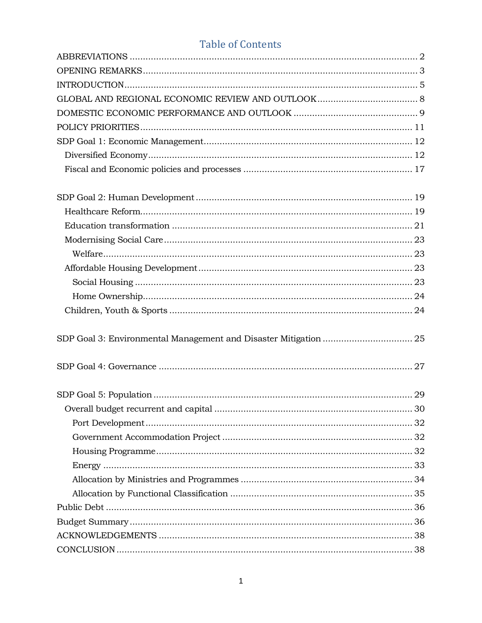#### **Table of Contents**

| SDP Goal 3: Environmental Management and Disaster Mitigation  25 |  |
|------------------------------------------------------------------|--|
|                                                                  |  |
|                                                                  |  |
|                                                                  |  |
|                                                                  |  |
|                                                                  |  |
|                                                                  |  |
|                                                                  |  |
|                                                                  |  |
|                                                                  |  |
|                                                                  |  |
|                                                                  |  |
|                                                                  |  |
|                                                                  |  |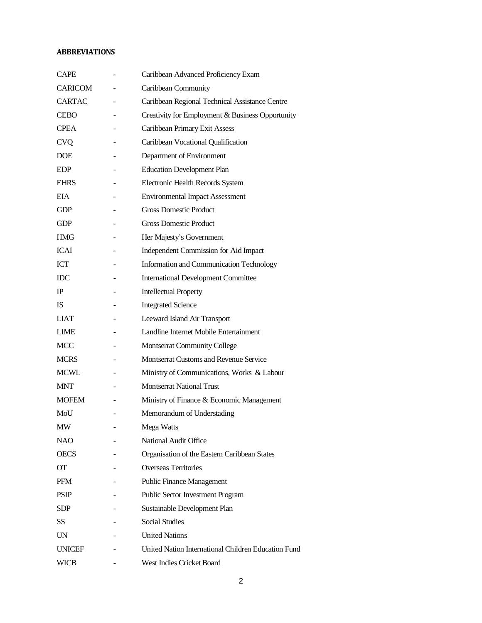#### <span id="page-1-0"></span>**ABBREVIATIONS**

| <b>CAPE</b>    |   | Caribbean Advanced Proficiency Exam                 |
|----------------|---|-----------------------------------------------------|
| <b>CARICOM</b> |   | Caribbean Community                                 |
| <b>CARTAC</b>  | ٠ | Caribbean Regional Technical Assistance Centre      |
| <b>CEBO</b>    |   | Creativity for Employment & Business Opportunity    |
| <b>CPEA</b>    |   | Caribbean Primary Exit Assess                       |
| <b>CVQ</b>     |   | Caribbean Vocational Qualification                  |
| <b>DOE</b>     |   | Department of Environment                           |
| EDP            |   | <b>Education Development Plan</b>                   |
| <b>EHRS</b>    |   | Electronic Health Records System                    |
| EIA.           |   | <b>Environmental Impact Assessment</b>              |
| <b>GDP</b>     |   | <b>Gross Domestic Product</b>                       |
| <b>GDP</b>     |   | <b>Gross Domestic Product</b>                       |
| <b>HMG</b>     |   | Her Majesty's Government                            |
| <b>ICAI</b>    |   | Independent Commission for Aid Impact               |
| ICT            |   | Information and Communication Technology            |
| <b>IDC</b>     |   | <b>International Development Committee</b>          |
| $_{\rm IP}$    |   | <b>Intellectual Property</b>                        |
| <b>IS</b>      |   | <b>Integrated Science</b>                           |
| <b>LIAT</b>    |   | Leeward Island Air Transport                        |
| <b>LIME</b>    |   | Landline Internet Mobile Entertainment              |
| <b>MCC</b>     |   | <b>Montserrat Community College</b>                 |
| <b>MCRS</b>    |   | <b>Montserrat Customs and Revenue Service</b>       |
| <b>MCWL</b>    |   | Ministry of Communications, Works & Labour          |
| <b>MNT</b>     |   | <b>Montserrat National Trust</b>                    |
| <b>MOFEM</b>   |   | Ministry of Finance & Economic Management           |
| MoU            |   | Memorandum of Understading                          |
| MW             |   | Mega Watts                                          |
| <b>NAO</b>     |   | National Audit Office                               |
| <b>OECS</b>    |   | Organisation of the Eastern Caribbean States        |
| OТ             |   | <b>Overseas Territories</b>                         |
| PFM            |   | <b>Public Finance Management</b>                    |
| <b>PSIP</b>    |   | Public Sector Investment Program                    |
| <b>SDP</b>     |   | Sustainable Development Plan                        |
| SS             |   | <b>Social Studies</b>                               |
| UN             |   | <b>United Nations</b>                               |
| <b>UNICEF</b>  |   | United Nation International Children Education Fund |
| <b>WICB</b>    |   | West Indies Cricket Board                           |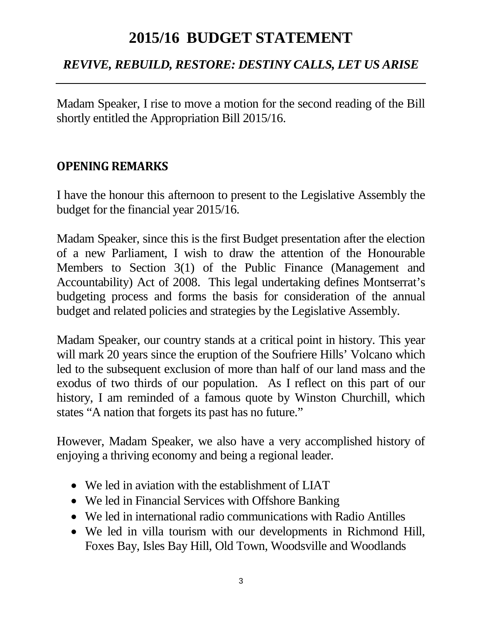# **2015/16 BUDGET STATEMENT**

### *REVIVE, REBUILD, RESTORE: DESTINY CALLS, LET US ARISE*

Madam Speaker, I rise to move a motion for the second reading of the Bill shortly entitled the Appropriation Bill 2015/16.

### <span id="page-2-0"></span>**OPENING REMARKS**

I have the honour this afternoon to present to the Legislative Assembly the budget for the financial year 2015/16.

Madam Speaker, since this is the first Budget presentation after the election of a new Parliament, I wish to draw the attention of the Honourable Members to Section 3(1) of the Public Finance (Management and Accountability) Act of 2008. This legal undertaking defines Montserrat's budgeting process and forms the basis for consideration of the annual budget and related policies and strategies by the Legislative Assembly.

Madam Speaker, our country stands at a critical point in history. This year will mark 20 years since the eruption of the Soufriere Hills' Volcano which led to the subsequent exclusion of more than half of our land mass and the exodus of two thirds of our population. As I reflect on this part of our history, I am reminded of a famous quote by Winston Churchill, which states "A nation that forgets its past has no future."

However, Madam Speaker, we also have a very accomplished history of enjoying a thriving economy and being a regional leader.

- We led in aviation with the establishment of LIAT
- We led in Financial Services with Offshore Banking
- We led in international radio communications with Radio Antilles
- We led in villa tourism with our developments in Richmond Hill, Foxes Bay, Isles Bay Hill, Old Town, Woodsville and Woodlands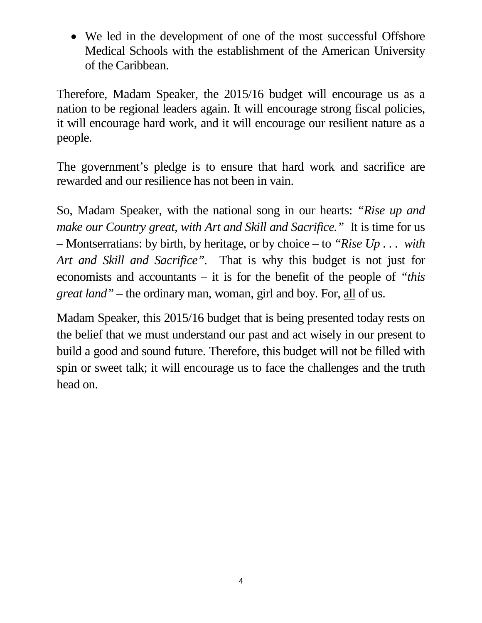• We led in the development of one of the most successful Offshore Medical Schools with the establishment of the American University of the Caribbean.

Therefore, Madam Speaker, the 2015/16 budget will encourage us as a nation to be regional leaders again. It will encourage strong fiscal policies, it will encourage hard work, and it will encourage our resilient nature as a people.

The government's pledge is to ensure that hard work and sacrifice are rewarded and our resilience has not been in vain.

So, Madam Speaker, with the national song in our hearts: *"Rise up and make our Country great, with Art and Skill and Sacrifice."* It is time for us – Montserratians: by birth, by heritage, or by choice – to *"Rise Up . . . with Art and Skill and Sacrifice".* That is why this budget is not just for economists and accountants – it is for the benefit of the people of *"this great land"* – the ordinary man, woman, girl and boy. For, all of us.

Madam Speaker, this 2015/16 budget that is being presented today rests on the belief that we must understand our past and act wisely in our present to build a good and sound future. Therefore, this budget will not be filled with spin or sweet talk; it will encourage us to face the challenges and the truth head on.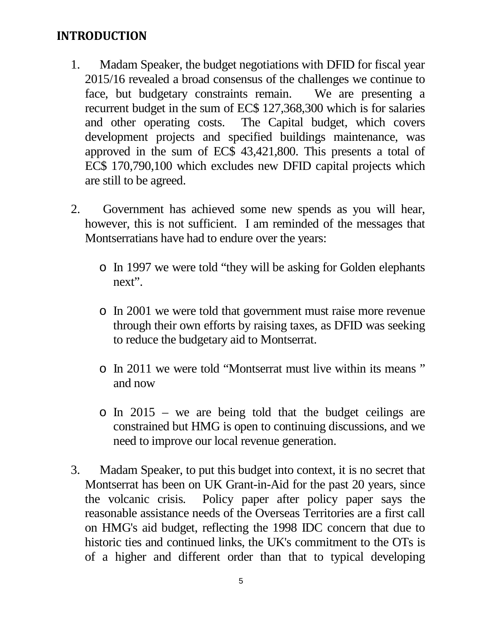### <span id="page-4-0"></span>**INTRODUCTION**

- 1. Madam Speaker, the budget negotiations with DFID for fiscal year 2015/16 revealed a broad consensus of the challenges we continue to face, but budgetary constraints remain. We are presenting a recurrent budget in the sum of EC\$ 127,368,300 which is for salaries and other operating costs. The Capital budget, which covers development projects and specified buildings maintenance, was approved in the sum of EC\$ 43,421,800. This presents a total of EC\$ 170,790,100 which excludes new DFID capital projects which are still to be agreed.
- 2. Government has achieved some new spends as you will hear, however, this is not sufficient. I am reminded of the messages that Montserratians have had to endure over the years:
	- o In 1997 we were told "they will be asking for Golden elephants next".
	- o In 2001 we were told that government must raise more revenue through their own efforts by raising taxes, as DFID was seeking to reduce the budgetary aid to Montserrat.
	- o In 2011 we were told "Montserrat must live within its means " and now
	- o In 2015 we are being told that the budget ceilings are constrained but HMG is open to continuing discussions, and we need to improve our local revenue generation.
- 3. Madam Speaker, to put this budget into context, it is no secret that Montserrat has been on UK Grant-in-Aid for the past 20 years, since the volcanic crisis. Policy paper after policy paper says the reasonable assistance needs of the Overseas Territories are a first call on HMG's aid budget, reflecting the 1998 IDC concern that due to historic ties and continued links, the UK's commitment to the OTs is of a higher and different order than that to typical developing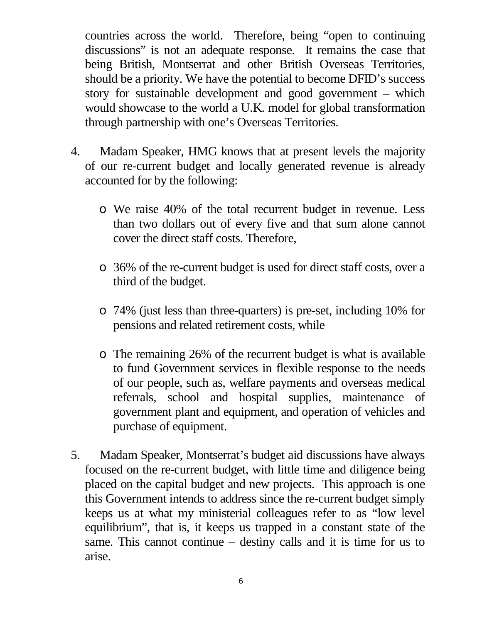countries across the world. Therefore, being "open to continuing discussions" is not an adequate response. It remains the case that being British, Montserrat and other British Overseas Territories, should be a priority. We have the potential to become DFID's success story for sustainable development and good government – which would showcase to the world a U.K. model for global transformation through partnership with one's Overseas Territories.

- 4. Madam Speaker, HMG knows that at present levels the majority of our re-current budget and locally generated revenue is already accounted for by the following:
	- o We raise 40% of the total recurrent budget in revenue. Less than two dollars out of every five and that sum alone cannot cover the direct staff costs. Therefore,
	- o 36% of the re-current budget is used for direct staff costs, over a third of the budget.
	- o 74% (just less than three-quarters) is pre-set, including 10% for pensions and related retirement costs, while
	- o The remaining 26% of the recurrent budget is what is available to fund Government services in flexible response to the needs of our people, such as, welfare payments and overseas medical referrals, school and hospital supplies, maintenance of government plant and equipment, and operation of vehicles and purchase of equipment.
- 5. Madam Speaker, Montserrat's budget aid discussions have always focused on the re-current budget, with little time and diligence being placed on the capital budget and new projects. This approach is one this Government intends to address since the re-current budget simply keeps us at what my ministerial colleagues refer to as "low level equilibrium", that is, it keeps us trapped in a constant state of the same. This cannot continue – destiny calls and it is time for us to arise.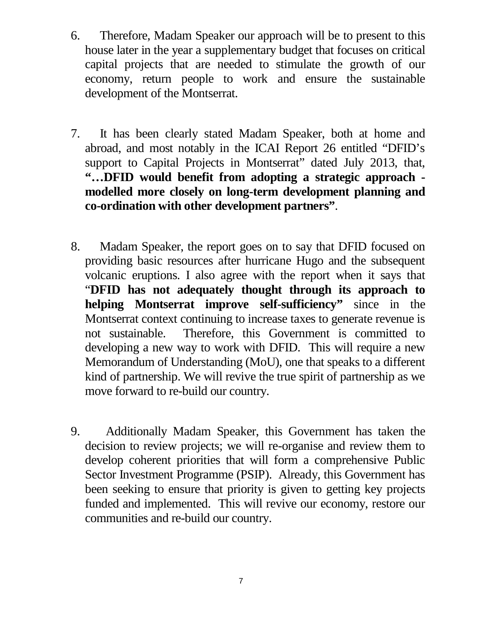- 6. Therefore, Madam Speaker our approach will be to present to this house later in the year a supplementary budget that focuses on critical capital projects that are needed to stimulate the growth of our economy, return people to work and ensure the sustainable development of the Montserrat.
- 7. It has been clearly stated Madam Speaker, both at home and abroad, and most notably in the ICAI Report 26 entitled "DFID's support to Capital Projects in Montserrat" dated July 2013, that, **"…DFID would benefit from adopting a strategic approach modelled more closely on long-term development planning and co-ordination with other development partners"**.
- 8. Madam Speaker, the report goes on to say that DFID focused on providing basic resources after hurricane Hugo and the subsequent volcanic eruptions. I also agree with the report when it says that "**DFID has not adequately thought through its approach to helping Montserrat improve self-sufficiency"** since in the Montserrat context continuing to increase taxes to generate revenue is not sustainable. Therefore, this Government is committed to developing a new way to work with DFID. This will require a new Memorandum of Understanding (MoU), one that speaks to a different kind of partnership. We will revive the true spirit of partnership as we move forward to re-build our country.
- 9. Additionally Madam Speaker, this Government has taken the decision to review projects; we will re-organise and review them to develop coherent priorities that will form a comprehensive Public Sector Investment Programme (PSIP). Already, this Government has been seeking to ensure that priority is given to getting key projects funded and implemented. This will revive our economy, restore our communities and re-build our country.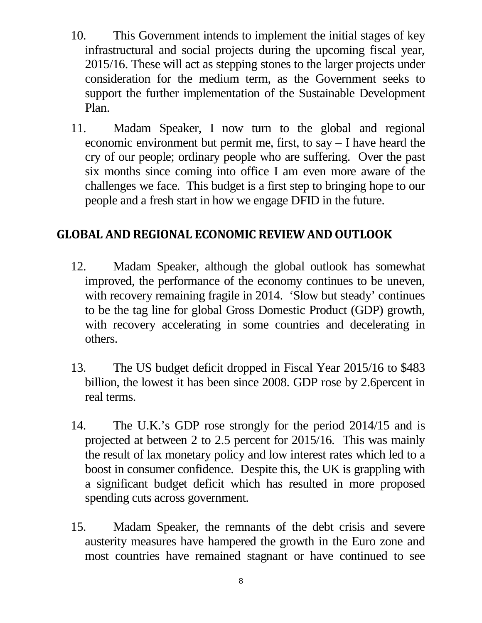- 10. This Government intends to implement the initial stages of key infrastructural and social projects during the upcoming fiscal year, 2015/16. These will act as stepping stones to the larger projects under consideration for the medium term, as the Government seeks to support the further implementation of the Sustainable Development Plan.
- 11. Madam Speaker, I now turn to the global and regional economic environment but permit me, first, to say – I have heard the cry of our people; ordinary people who are suffering. Over the past six months since coming into office I am even more aware of the challenges we face. This budget is a first step to bringing hope to our people and a fresh start in how we engage DFID in the future.

### <span id="page-7-0"></span>**GLOBAL AND REGIONAL ECONOMIC REVIEW AND OUTLOOK**

- 12. Madam Speaker, although the global outlook has somewhat improved, the performance of the economy continues to be uneven, with recovery remaining fragile in 2014. 'Slow but steady' continues to be the tag line for global Gross Domestic Product (GDP) growth, with recovery accelerating in some countries and decelerating in others.
- 13. The US budget deficit dropped in Fiscal Year 2015/16 to \$483 billion, the lowest it has been since 2008. GDP rose by 2.6percent in real terms.
- 14. The U.K.'s GDP rose strongly for the period 2014/15 and is projected at between 2 to 2.5 percent for 2015/16. This was mainly the result of lax monetary policy and low interest rates which led to a boost in consumer confidence. Despite this, the UK is grappling with a significant budget deficit which has resulted in more proposed spending cuts across government.
- 15. Madam Speaker, the remnants of the debt crisis and severe austerity measures have hampered the growth in the Euro zone and most countries have remained stagnant or have continued to see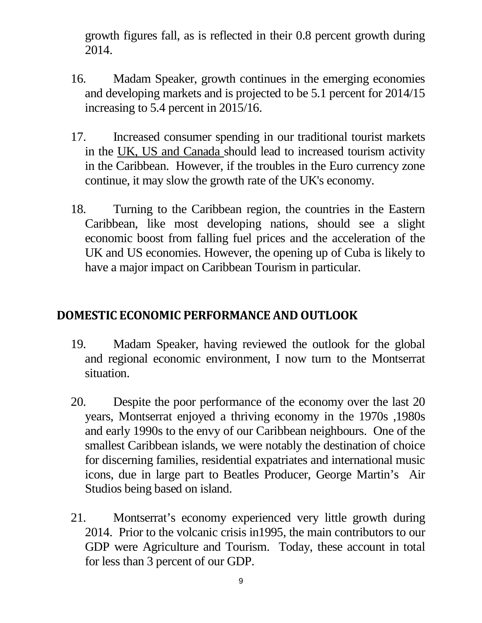growth figures fall, as is reflected in their 0.8 percent growth during 2014.

- 16. Madam Speaker, growth continues in the emerging economies and developing markets and is projected to be 5.1 percent for 2014/15 increasing to 5.4 percent in 2015/16.
- 17. Increased consumer spending in our traditional tourist markets in the UK, US and Canada should lead to increased tourism activity in the Caribbean. However, if the troubles in the Euro currency zone continue, it may slow the growth rate of the UK's economy.
- 18. Turning to the Caribbean region, the countries in the Eastern Caribbean, like most developing nations, should see a slight economic boost from falling fuel prices and the acceleration of the UK and US economies. However, the opening up of Cuba is likely to have a major impact on Caribbean Tourism in particular.

### <span id="page-8-0"></span>**DOMESTIC ECONOMIC PERFORMANCE AND OUTLOOK**

- 19. Madam Speaker, having reviewed the outlook for the global and regional economic environment, I now turn to the Montserrat situation.
- 20. Despite the poor performance of the economy over the last 20 years, Montserrat enjoyed a thriving economy in the 1970s ,1980s and early 1990s to the envy of our Caribbean neighbours. One of the smallest Caribbean islands, we were notably the destination of choice for discerning families, residential expatriates and international music icons, due in large part to Beatles Producer, George Martin's Air Studios being based on island.
- 21. Montserrat's economy experienced very little growth during 2014. Prior to the volcanic crisis in1995, the main contributors to our GDP were Agriculture and Tourism. Today, these account in total for less than 3 percent of our GDP.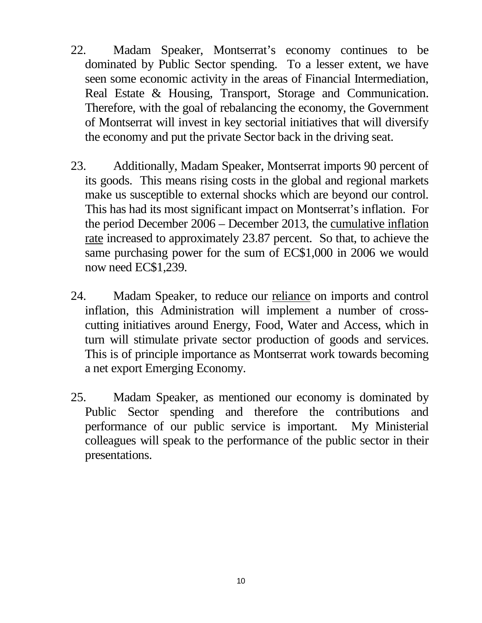- 22. Madam Speaker, Montserrat's economy continues to be dominated by Public Sector spending. To a lesser extent, we have seen some economic activity in the areas of Financial Intermediation, Real Estate & Housing, Transport, Storage and Communication. Therefore, with the goal of rebalancing the economy, the Government of Montserrat will invest in key sectorial initiatives that will diversify the economy and put the private Sector back in the driving seat.
- 23. Additionally, Madam Speaker, Montserrat imports 90 percent of its goods. This means rising costs in the global and regional markets make us susceptible to external shocks which are beyond our control. This has had its most significant impact on Montserrat's inflation. For the period December 2006 – December 2013, the cumulative inflation rate increased to approximately 23.87 percent. So that, to achieve the same purchasing power for the sum of EC\$1,000 in 2006 we would now need EC\$1,239.
- 24. Madam Speaker, to reduce our reliance on imports and control inflation, this Administration will implement a number of crosscutting initiatives around Energy, Food, Water and Access, which in turn will stimulate private sector production of goods and services. This is of principle importance as Montserrat work towards becoming a net export Emerging Economy.
- 25. Madam Speaker, as mentioned our economy is dominated by Public Sector spending and therefore the contributions and performance of our public service is important. My Ministerial colleagues will speak to the performance of the public sector in their presentations.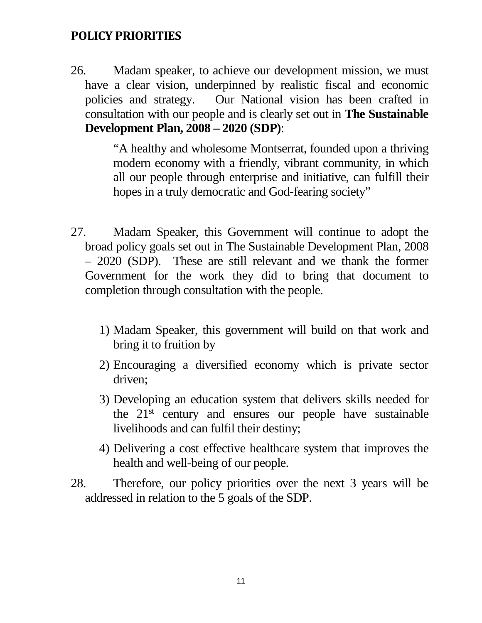### <span id="page-10-0"></span>**POLICY PRIORITIES**

26. Madam speaker, to achieve our development mission, we must have a clear vision, underpinned by realistic fiscal and economic policies and strategy. Our National vision has been crafted in consultation with our people and is clearly set out in **The Sustainable Development Plan, 2008 – 2020 (SDP)**:

> "A healthy and wholesome Montserrat, founded upon a thriving modern economy with a friendly, vibrant community, in which all our people through enterprise and initiative, can fulfill their hopes in a truly democratic and God-fearing society"

- 27. Madam Speaker, this Government will continue to adopt the broad policy goals set out in The Sustainable Development Plan, 2008 – 2020 (SDP). These are still relevant and we thank the former Government for the work they did to bring that document to completion through consultation with the people.
	- 1) Madam Speaker, this government will build on that work and bring it to fruition by
	- 2) Encouraging a diversified economy which is private sector driven;
	- 3) Developing an education system that delivers skills needed for the 21st century and ensures our people have sustainable livelihoods and can fulfil their destiny;
	- 4) Delivering a cost effective healthcare system that improves the health and well-being of our people.
- 28. Therefore, our policy priorities over the next 3 years will be addressed in relation to the 5 goals of the SDP.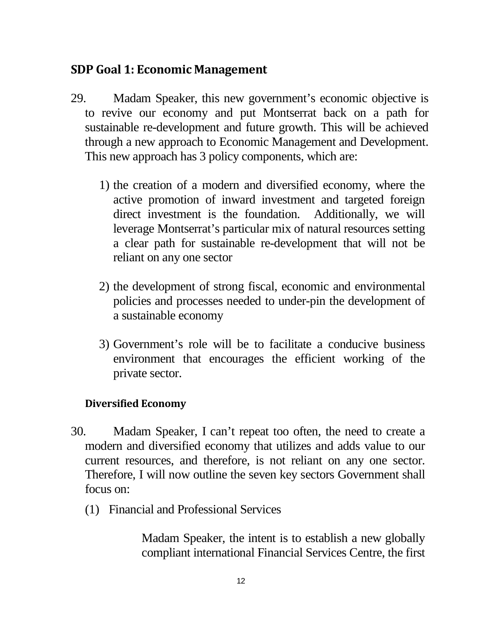### <span id="page-11-0"></span>**SDP Goal 1: Economic Management**

- 29. Madam Speaker, this new government's economic objective is to revive our economy and put Montserrat back on a path for sustainable re-development and future growth. This will be achieved through a new approach to Economic Management and Development. This new approach has 3 policy components, which are:
	- 1) the creation of a modern and diversified economy, where the active promotion of inward investment and targeted foreign direct investment is the foundation. Additionally, we will leverage Montserrat's particular mix of natural resources setting a clear path for sustainable re-development that will not be reliant on any one sector
	- 2) the development of strong fiscal, economic and environmental policies and processes needed to under-pin the development of a sustainable economy
	- 3) Government's role will be to facilitate a conducive business environment that encourages the efficient working of the private sector.

#### <span id="page-11-1"></span>**Diversified Economy**

- 30. Madam Speaker, I can't repeat too often, the need to create a modern and diversified economy that utilizes and adds value to our current resources, and therefore, is not reliant on any one sector. Therefore, I will now outline the seven key sectors Government shall focus on:
	- (1) Financial and Professional Services

Madam Speaker, the intent is to establish a new globally compliant international Financial Services Centre, the first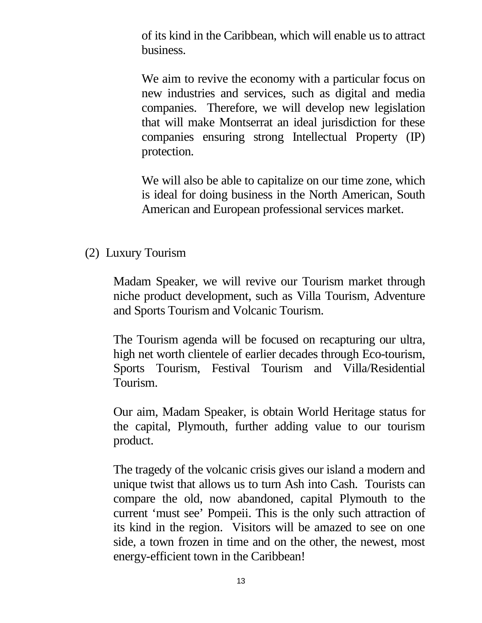of its kind in the Caribbean, which will enable us to attract business.

We aim to revive the economy with a particular focus on new industries and services, such as digital and media companies. Therefore, we will develop new legislation that will make Montserrat an ideal jurisdiction for these companies ensuring strong Intellectual Property (IP) protection.

We will also be able to capitalize on our time zone, which is ideal for doing business in the North American, South American and European professional services market.

(2) Luxury Tourism

Madam Speaker, we will revive our Tourism market through niche product development, such as Villa Tourism, Adventure and Sports Tourism and Volcanic Tourism.

The Tourism agenda will be focused on recapturing our ultra, high net worth clientele of earlier decades through Eco-tourism, Sports Tourism, Festival Tourism and Villa/Residential Tourism.

Our aim, Madam Speaker, is obtain World Heritage status for the capital, Plymouth, further adding value to our tourism product.

The tragedy of the volcanic crisis gives our island a modern and unique twist that allows us to turn Ash into Cash. Tourists can compare the old, now abandoned, capital Plymouth to the current 'must see' Pompeii. This is the only such attraction of its kind in the region. Visitors will be amazed to see on one side, a town frozen in time and on the other, the newest, most energy-efficient town in the Caribbean!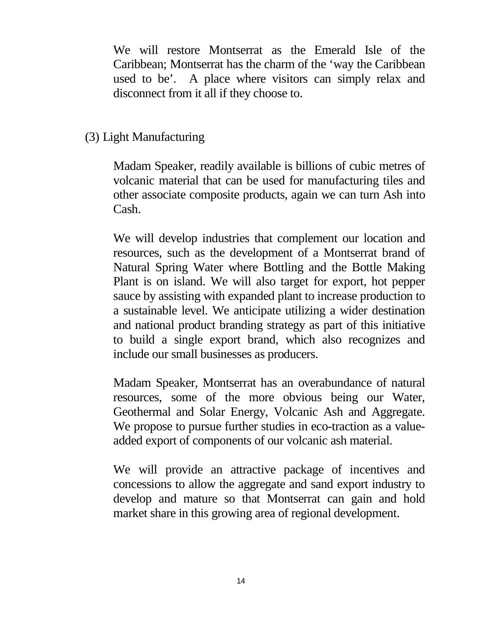We will restore Montserrat as the Emerald Isle of the Caribbean; Montserrat has the charm of the 'way the Caribbean used to be'. A place where visitors can simply relax and disconnect from it all if they choose to.

#### (3) Light Manufacturing

Madam Speaker, readily available is billions of cubic metres of volcanic material that can be used for manufacturing tiles and other associate composite products, again we can turn Ash into Cash.

We will develop industries that complement our location and resources, such as the development of a Montserrat brand of Natural Spring Water where Bottling and the Bottle Making Plant is on island. We will also target for export, hot pepper sauce by assisting with expanded plant to increase production to a sustainable level. We anticipate utilizing a wider destination and national product branding strategy as part of this initiative to build a single export brand, which also recognizes and include our small businesses as producers.

Madam Speaker, Montserrat has an overabundance of natural resources, some of the more obvious being our Water, Geothermal and Solar Energy, Volcanic Ash and Aggregate. We propose to pursue further studies in eco-traction as a valueadded export of components of our volcanic ash material.

We will provide an attractive package of incentives and concessions to allow the aggregate and sand export industry to develop and mature so that Montserrat can gain and hold market share in this growing area of regional development.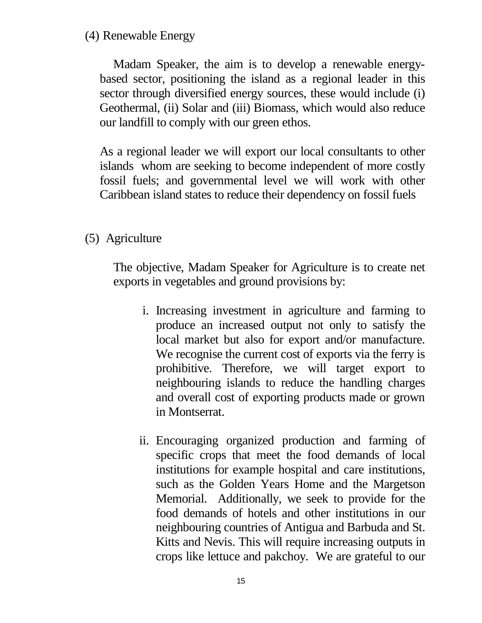#### (4) Renewable Energy

Madam Speaker, the aim is to develop a renewable energybased sector, positioning the island as a regional leader in this sector through diversified energy sources, these would include (i) Geothermal, (ii) Solar and (iii) Biomass, which would also reduce our landfill to comply with our green ethos.

As a regional leader we will export our local consultants to other islands whom are seeking to become independent of more costly fossil fuels; and governmental level we will work with other Caribbean island states to reduce their dependency on fossil fuels

### (5) Agriculture

The objective, Madam Speaker for Agriculture is to create net exports in vegetables and ground provisions by:

- i. Increasing investment in agriculture and farming to produce an increased output not only to satisfy the local market but also for export and/or manufacture. We recognise the current cost of exports via the ferry is prohibitive. Therefore, we will target export to neighbouring islands to reduce the handling charges and overall cost of exporting products made or grown in Montserrat.
- ii. Encouraging organized production and farming of specific crops that meet the food demands of local institutions for example hospital and care institutions, such as the Golden Years Home and the Margetson Memorial. Additionally, we seek to provide for the food demands of hotels and other institutions in our neighbouring countries of Antigua and Barbuda and St. Kitts and Nevis. This will require increasing outputs in crops like lettuce and pakchoy. We are grateful to our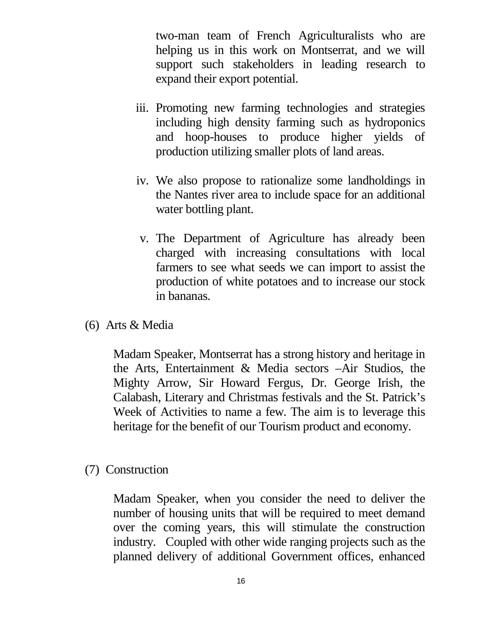two-man team of French Agriculturalists who are helping us in this work on Montserrat, and we will support such stakeholders in leading research to expand their export potential.

- iii. Promoting new farming technologies and strategies including high density farming such as hydroponics and hoop-houses to produce higher yields of production utilizing smaller plots of land areas.
- iv. We also propose to rationalize some landholdings in the Nantes river area to include space for an additional water bottling plant.
- v. The Department of Agriculture has already been charged with increasing consultations with local farmers to see what seeds we can import to assist the production of white potatoes and to increase our stock in bananas.
- (6) Arts & Media

Madam Speaker, Montserrat has a strong history and heritage in the Arts, Entertainment & Media sectors –Air Studios, the Mighty Arrow, Sir Howard Fergus, Dr. George Irish, the Calabash, Literary and Christmas festivals and the St. Patrick's Week of Activities to name a few. The aim is to leverage this heritage for the benefit of our Tourism product and economy.

(7) Construction

Madam Speaker, when you consider the need to deliver the number of housing units that will be required to meet demand over the coming years, this will stimulate the construction industry. Coupled with other wide ranging projects such as the planned delivery of additional Government offices, enhanced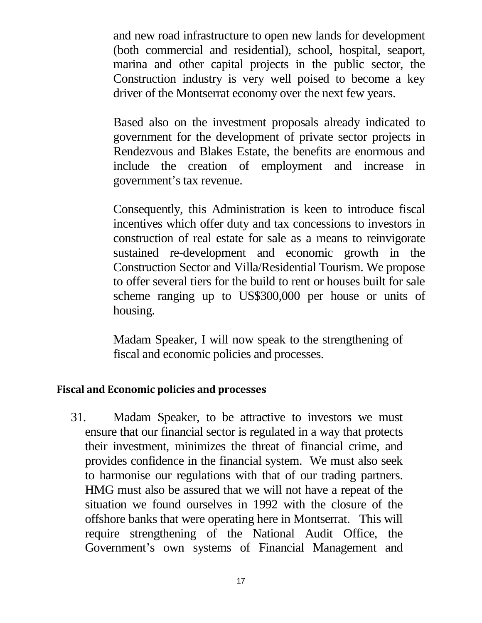and new road infrastructure to open new lands for development (both commercial and residential), school, hospital, seaport, marina and other capital projects in the public sector, the Construction industry is very well poised to become a key driver of the Montserrat economy over the next few years.

Based also on the investment proposals already indicated to government for the development of private sector projects in Rendezvous and Blakes Estate, the benefits are enormous and include the creation of employment and increase in government's tax revenue.

Consequently, this Administration is keen to introduce fiscal incentives which offer duty and tax concessions to investors in construction of real estate for sale as a means to reinvigorate sustained re-development and economic growth in the Construction Sector and Villa/Residential Tourism. We propose to offer several tiers for the build to rent or houses built for sale scheme ranging up to US\$300,000 per house or units of housing.

Madam Speaker, I will now speak to the strengthening of fiscal and economic policies and processes.

#### <span id="page-16-0"></span>**Fiscal and Economic policies and processes**

31. Madam Speaker, to be attractive to investors we must ensure that our financial sector is regulated in a way that protects their investment, minimizes the threat of financial crime, and provides confidence in the financial system. We must also seek to harmonise our regulations with that of our trading partners. HMG must also be assured that we will not have a repeat of the situation we found ourselves in 1992 with the closure of the offshore banks that were operating here in Montserrat. This will require strengthening of the National Audit Office, the Government's own systems of Financial Management and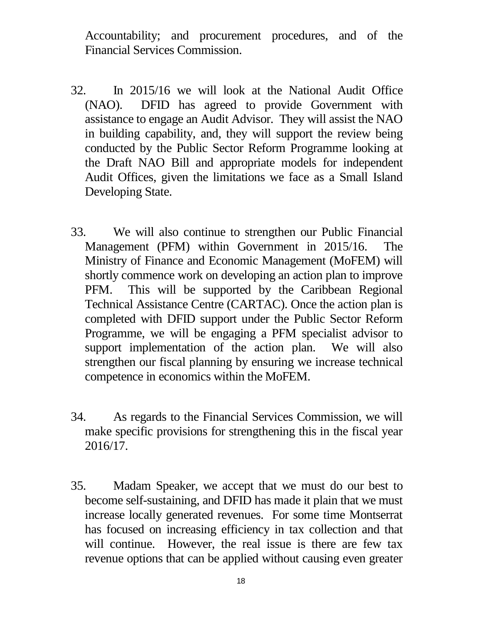Accountability; and procurement procedures, and of the Financial Services Commission.

- 32. In 2015/16 we will look at the National Audit Office (NAO). DFID has agreed to provide Government with assistance to engage an Audit Advisor. They will assist the NAO in building capability, and, they will support the review being conducted by the Public Sector Reform Programme looking at the Draft NAO Bill and appropriate models for independent Audit Offices, given the limitations we face as a Small Island Developing State.
- 33. We will also continue to strengthen our Public Financial Management (PFM) within Government in 2015/16. The Ministry of Finance and Economic Management (MoFEM) will shortly commence work on developing an action plan to improve PFM. This will be supported by the Caribbean Regional Technical Assistance Centre (CARTAC). Once the action plan is completed with DFID support under the Public Sector Reform Programme, we will be engaging a PFM specialist advisor to support implementation of the action plan. We will also strengthen our fiscal planning by ensuring we increase technical competence in economics within the MoFEM.
- 34. As regards to the Financial Services Commission, we will make specific provisions for strengthening this in the fiscal year 2016/17.
- 35. Madam Speaker, we accept that we must do our best to become self-sustaining, and DFID has made it plain that we must increase locally generated revenues. For some time Montserrat has focused on increasing efficiency in tax collection and that will continue. However, the real issue is there are few tax revenue options that can be applied without causing even greater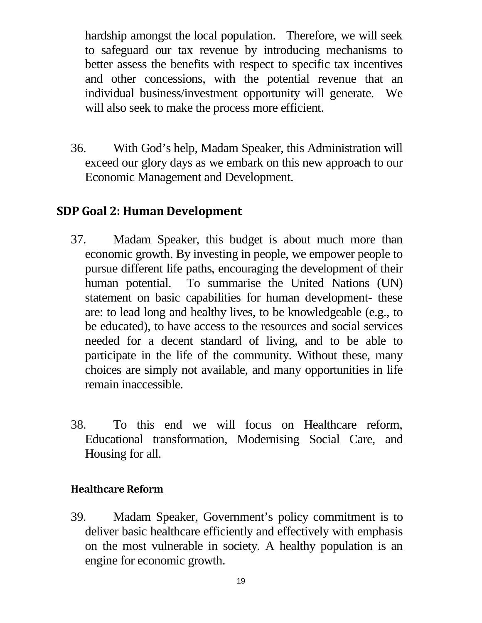hardship amongst the local population. Therefore, we will seek to safeguard our tax revenue by introducing mechanisms to better assess the benefits with respect to specific tax incentives and other concessions, with the potential revenue that an individual business/investment opportunity will generate. We will also seek to make the process more efficient.

36. With God's help, Madam Speaker, this Administration will exceed our glory days as we embark on this new approach to our Economic Management and Development.

### <span id="page-18-0"></span>**SDP Goal 2: Human Development**

- 37. Madam Speaker, this budget is about much more than economic growth. By investing in people, we empower people to pursue different life paths, encouraging the development of their human potential. To summarise the United Nations (UN) statement on basic capabilities for human development- these are: to lead long and healthy lives, to be knowledgeable (e.g., to be educated), to have access to the resources and social services needed for a decent standard of living, and to be able to participate in the life of the community. Without these, many choices are simply not available, and many opportunities in life remain inaccessible.
- 38. To this end we will focus on Healthcare reform, Educational transformation, Modernising Social Care, and Housing for all.

#### <span id="page-18-1"></span>**Healthcare Reform**

39. Madam Speaker, Government's policy commitment is to deliver basic healthcare efficiently and effectively with emphasis on the most vulnerable in society. A healthy population is an engine for economic growth.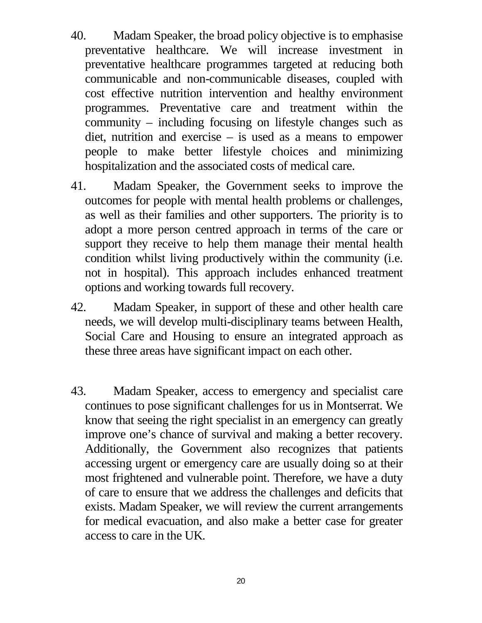- 40. Madam Speaker, the broad policy objective is to emphasise preventative healthcare. We will increase investment in preventative healthcare programmes targeted at reducing both communicable and non-communicable diseases, coupled with cost effective nutrition intervention and healthy environment programmes. Preventative care and treatment within the community – including focusing on lifestyle changes such as diet, nutrition and exercise – is used as a means to empower people to make better lifestyle choices and minimizing hospitalization and the associated costs of medical care.
- 41. Madam Speaker, the Government seeks to improve the outcomes for people with mental health problems or challenges, as well as their families and other supporters. The priority is to adopt a more person centred approach in terms of the care or support they receive to help them manage their mental health condition whilst living productively within the community (i.e. not in hospital). This approach includes enhanced treatment options and working towards full recovery.
- 42. Madam Speaker, in support of these and other health care needs, we will develop multi-disciplinary teams between Health, Social Care and Housing to ensure an integrated approach as these three areas have significant impact on each other.
- 43. Madam Speaker, access to emergency and specialist care continues to pose significant challenges for us in Montserrat. We know that seeing the right specialist in an emergency can greatly improve one's chance of survival and making a better recovery. Additionally, the Government also recognizes that patients accessing urgent or emergency care are usually doing so at their most frightened and vulnerable point. Therefore, we have a duty of care to ensure that we address the challenges and deficits that exists. Madam Speaker, we will review the current arrangements for medical evacuation, and also make a better case for greater access to care in the UK.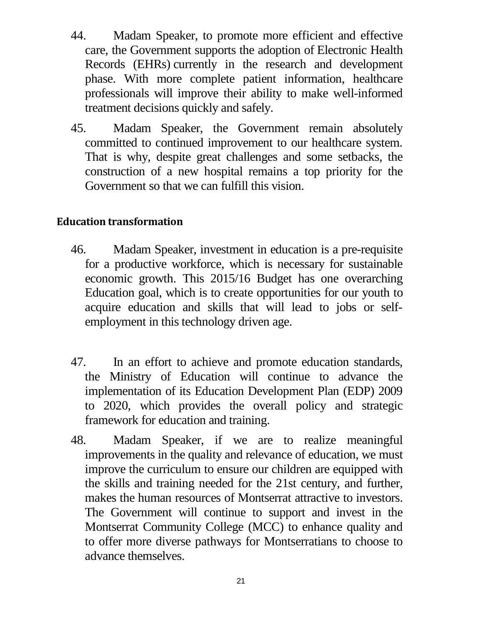- 44. Madam Speaker, to promote more efficient and effective care, the Government supports the adoption of Electronic Health Records (EHRs) currently in the research and development phase. With more complete patient information, healthcare professionals will improve their ability to make well-informed treatment decisions quickly and safely.
- 45. Madam Speaker, the Government remain absolutely committed to continued improvement to our healthcare system. That is why, despite great challenges and some setbacks, the construction of a new hospital remains a top priority for the Government so that we can fulfill this vision.

#### <span id="page-20-0"></span>**Education transformation**

- 46. Madam Speaker, investment in education is a pre-requisite for a productive workforce, which is necessary for sustainable economic growth. This 2015/16 Budget has one overarching Education goal, which is to create opportunities for our youth to acquire education and skills that will lead to jobs or selfemployment in this technology driven age.
- 47. In an effort to achieve and promote education standards, the Ministry of Education will continue to advance the implementation of its Education Development Plan (EDP) 2009 to 2020, which provides the overall policy and strategic framework for education and training.
- 48. Madam Speaker, if we are to realize meaningful improvements in the quality and relevance of education, we must improve the curriculum to ensure our children are equipped with the skills and training needed for the 21st century, and further, makes the human resources of Montserrat attractive to investors. The Government will continue to support and invest in the Montserrat Community College (MCC) to enhance quality and to offer more diverse pathways for Montserratians to choose to advance themselves.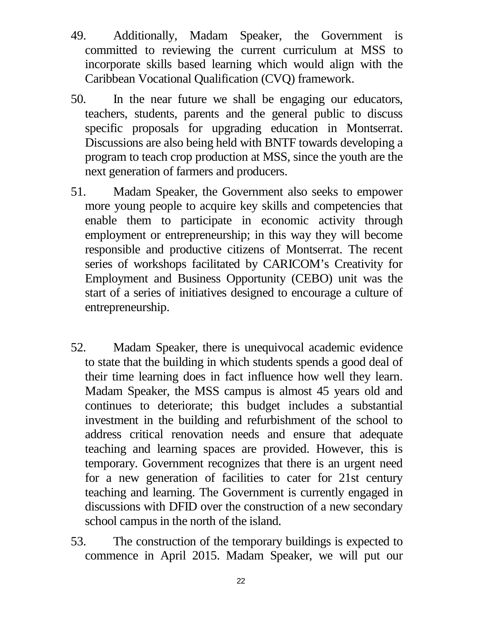- 49. Additionally, Madam Speaker, the Government is committed to reviewing the current curriculum at MSS to incorporate skills based learning which would align with the Caribbean Vocational Qualification (CVQ) framework.
- 50. In the near future we shall be engaging our educators, teachers, students, parents and the general public to discuss specific proposals for upgrading education in Montserrat. Discussions are also being held with BNTF towards developing a program to teach crop production at MSS, since the youth are the next generation of farmers and producers.
- 51. Madam Speaker, the Government also seeks to empower more young people to acquire key skills and competencies that enable them to participate in economic activity through employment or entrepreneurship; in this way they will become responsible and productive citizens of Montserrat. The recent series of workshops facilitated by CARICOM's Creativity for Employment and Business Opportunity (CEBO) unit was the start of a series of initiatives designed to encourage a culture of entrepreneurship.
- 52. Madam Speaker, there is unequivocal academic evidence to state that the building in which students spends a good deal of their time learning does in fact influence how well they learn. Madam Speaker, the MSS campus is almost 45 years old and continues to deteriorate; this budget includes a substantial investment in the building and refurbishment of the school to address critical renovation needs and ensure that adequate teaching and learning spaces are provided. However, this is temporary. Government recognizes that there is an urgent need for a new generation of facilities to cater for 21st century teaching and learning. The Government is currently engaged in discussions with DFID over the construction of a new secondary school campus in the north of the island.
- 53. The construction of the temporary buildings is expected to commence in April 2015. Madam Speaker, we will put our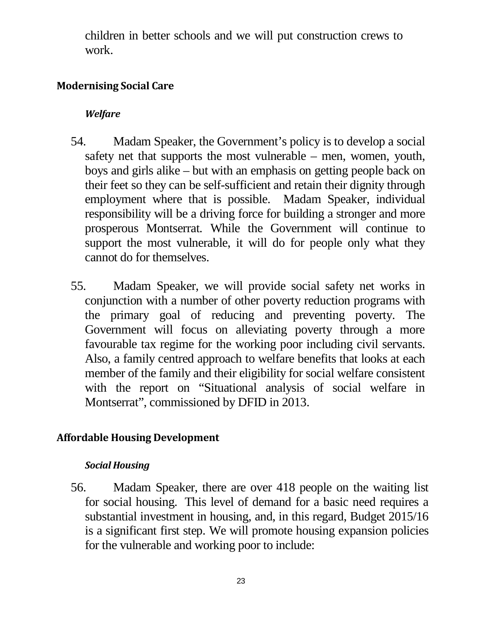children in better schools and we will put construction crews to work.

#### <span id="page-22-1"></span><span id="page-22-0"></span>**Modernising Social Care**

### *Welfare*

- 54. Madam Speaker, the Government's policy is to develop a social safety net that supports the most vulnerable – men, women, youth, boys and girls alike – but with an emphasis on getting people back on their feet so they can be self-sufficient and retain their dignity through employment where that is possible. Madam Speaker, individual responsibility will be a driving force for building a stronger and more prosperous Montserrat. While the Government will continue to support the most vulnerable, it will do for people only what they cannot do for themselves.
- 55. Madam Speaker, we will provide social safety net works in conjunction with a number of other poverty reduction programs with the primary goal of reducing and preventing poverty. The Government will focus on alleviating poverty through a more favourable tax regime for the working poor including civil servants. Also, a family centred approach to welfare benefits that looks at each member of the family and their eligibility for social welfare consistent with the report on "Situational analysis of social welfare in Montserrat", commissioned by DFID in 2013.

### <span id="page-22-3"></span><span id="page-22-2"></span>**Affordable Housing Development**

#### *Social Housing*

56. Madam Speaker, there are over 418 people on the waiting list for social housing. This level of demand for a basic need requires a substantial investment in housing, and, in this regard, Budget 2015/16 is a significant first step. We will promote housing expansion policies for the vulnerable and working poor to include: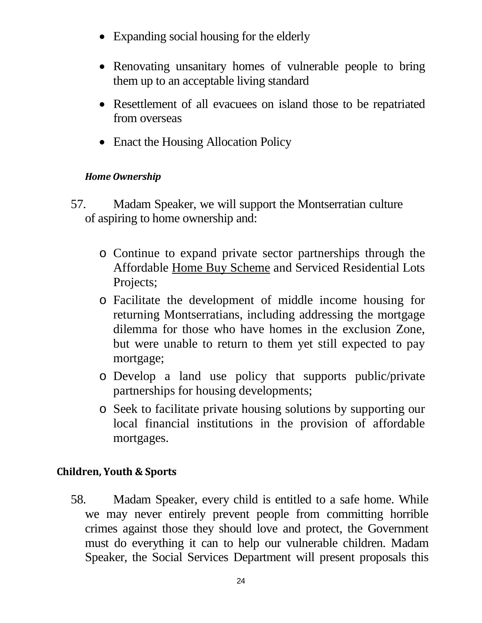- Expanding social housing for the elderly
- Renovating unsanitary homes of vulnerable people to bring them up to an acceptable living standard
- Resettlement of all evacuees on island those to be repatriated from overseas
- Enact the Housing Allocation Policy

#### <span id="page-23-0"></span>*Home Ownership*

- 57. Madam Speaker, we will support the Montserratian culture of aspiring to home ownership and:
	- o Continue to expand private sector partnerships through the Affordable Home Buy Scheme and Serviced Residential Lots Projects;
	- o Facilitate the development of middle income housing for returning Montserratians, including addressing the mortgage dilemma for those who have homes in the exclusion Zone, but were unable to return to them yet still expected to pay mortgage;
	- o Develop a land use policy that supports public/private partnerships for housing developments;
	- o Seek to facilitate private housing solutions by supporting our local financial institutions in the provision of affordable mortgages.

#### <span id="page-23-1"></span>**Children, Youth & Sports**

58. Madam Speaker, every child is entitled to a safe home. While we may never entirely prevent people from committing horrible crimes against those they should love and protect, the Government must do everything it can to help our vulnerable children. Madam Speaker, the Social Services Department will present proposals this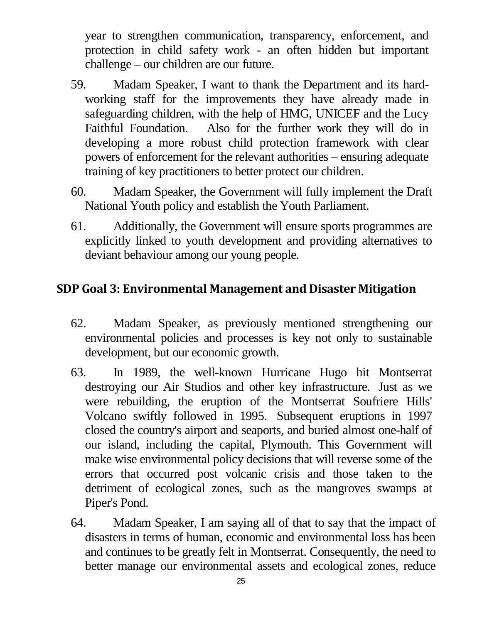year to strengthen communication, transparency, enforcement, and protection in child safety work - an often hidden but important challenge – our children are our future.

- 59. Madam Speaker, I want to thank the Department and its hardworking staff for the improvements they have already made in safeguarding children, with the help of HMG, UNICEF and the Lucy Faithful Foundation. Also for the further work they will do in developing a more robust child protection framework with clear powers of enforcement for the relevant authorities – ensuring adequate training of key practitioners to better protect our children.
- 60. Madam Speaker, the Government will fully implement the Draft National Youth policy and establish the Youth Parliament.
- 61. Additionally, the Government will ensure sports programmes are explicitly linked to youth development and providing alternatives to deviant behaviour among our young people.

### <span id="page-24-0"></span>**SDP Goal 3: Environmental Management and Disaster Mitigation**

- 62. Madam Speaker, as previously mentioned strengthening our environmental policies and processes is key not only to sustainable development, but our economic growth.
- 63. In 1989, the well-known Hurricane Hugo hit Montserrat destroying our Air Studios and other key infrastructure. Just as we were rebuilding, the eruption of the Montserrat Soufriere Hills' Volcano swiftly followed in 1995. Subsequent eruptions in 1997 closed the country's airport and seaports, and buried almost one-half of our island, including the capital, Plymouth. This Government will make wise environmental policy decisions that will reverse some of the errors that occurred post volcanic crisis and those taken to the detriment of ecological zones, such as the mangroves swamps at Piper's Pond.
- 64. Madam Speaker, I am saying all of that to say that the impact of disasters in terms of human, economic and environmental loss has been and continues to be greatly felt in Montserrat. Consequently, the need to better manage our environmental assets and ecological zones, reduce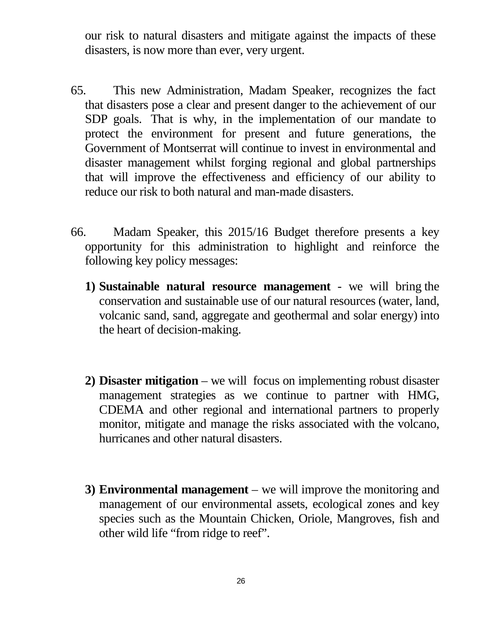our risk to natural disasters and mitigate against the impacts of these disasters, is now more than ever, very urgent.

- 65. This new Administration, Madam Speaker, recognizes the fact that disasters pose a clear and present danger to the achievement of our SDP goals. That is why, in the implementation of our mandate to protect the environment for present and future generations, the Government of Montserrat will continue to invest in environmental and disaster management whilst forging regional and global partnerships that will improve the effectiveness and efficiency of our ability to reduce our risk to both natural and man-made disasters.
- 66. Madam Speaker, this 2015/16 Budget therefore presents a key opportunity for this administration to highlight and reinforce the following key policy messages:
	- **1) Sustainable natural resource management** we will bring the conservation and sustainable use of our natural resources (water, land, volcanic sand, sand, aggregate and geothermal and solar energy) into the heart of decision-making.
	- **2) Disaster mitigation** we will focus on implementing robust disaster management strategies as we continue to partner with HMG, CDEMA and other regional and international partners to properly monitor, mitigate and manage the risks associated with the volcano, hurricanes and other natural disasters.
	- **3) Environmental management** we will improve the monitoring and management of our environmental assets, ecological zones and key species such as the Mountain Chicken, Oriole, Mangroves, fish and other wild life "from ridge to reef".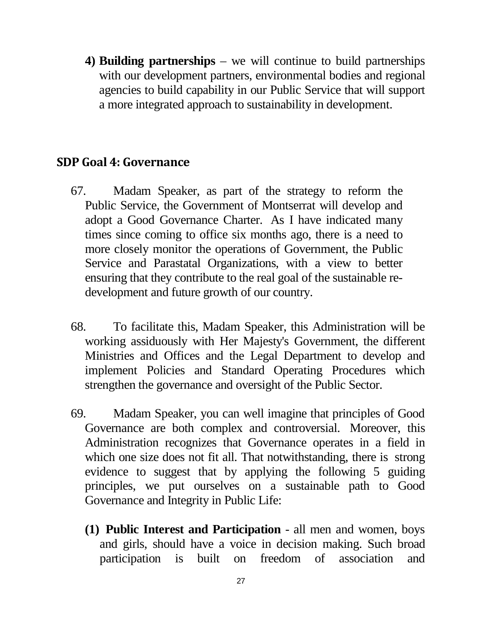**4) Building partnerships** – we will continue to build partnerships with our development partners, environmental bodies and regional agencies to build capability in our Public Service that will support a more integrated approach to sustainability in development.

### <span id="page-26-0"></span>**SDP Goal 4: Governance**

- 67. Madam Speaker, as part of the strategy to reform the Public Service, the Government of Montserrat will develop and adopt a Good Governance Charter. As I have indicated many times since coming to office six months ago, there is a need to more closely monitor the operations of Government, the Public Service and Parastatal Organizations, with a view to better ensuring that they contribute to the real goal of the sustainable redevelopment and future growth of our country.
- 68. To facilitate this, Madam Speaker, this Administration will be working assiduously with Her Majesty's Government, the different Ministries and Offices and the Legal Department to develop and implement Policies and Standard Operating Procedures which strengthen the governance and oversight of the Public Sector.
- 69. Madam Speaker, you can well imagine that principles of Good Governance are both complex and controversial. Moreover, this Administration recognizes that Governance operates in a field in which one size does not fit all. That notwithstanding, there is strong evidence to suggest that by applying the following 5 guiding principles, we put ourselves on a sustainable path to Good Governance and Integrity in Public Life:
	- **(1) Public Interest and Participation**  all men and women, boys and girls, should have a voice in decision making. Such broad participation is built on freedom of association and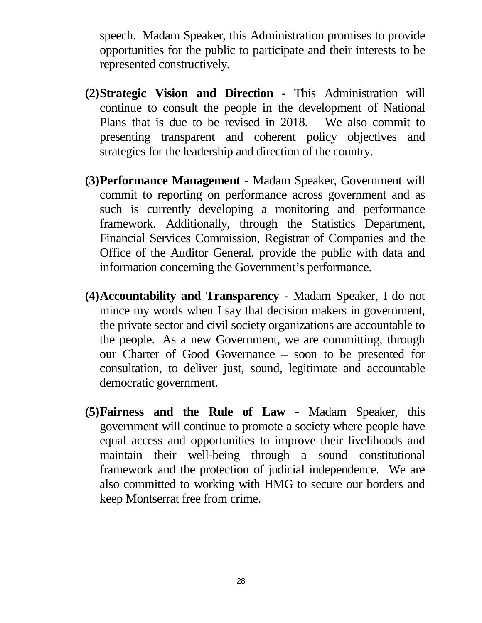speech. Madam Speaker, this Administration promises to provide opportunities for the public to participate and their interests to be represented constructively.

- **(2)Strategic Vision and Direction** This Administration will continue to consult the people in the development of National Plans that is due to be revised in 2018. We also commit to presenting transparent and coherent policy objectives and strategies for the leadership and direction of the country.
- **(3)Performance Management** Madam Speaker, Government will commit to reporting on performance across government and as such is currently developing a monitoring and performance framework. Additionally, through the Statistics Department, Financial Services Commission, Registrar of Companies and the Office of the Auditor General, provide the public with data and information concerning the Government's performance.
- **(4)Accountability and Transparency -** Madam Speaker, I do not mince my words when I say that decision makers in government, the private sector and civil society organizations are accountable to the people. As a new Government, we are committing, through our Charter of Good Governance – soon to be presented for consultation, to deliver just, sound, legitimate and accountable democratic government.
- **(5)Fairness and the Rule of Law** Madam Speaker, this government will continue to promote a society where people have equal access and opportunities to improve their livelihoods and maintain their well-being through a sound constitutional framework and the protection of judicial independence. We are also committed to working with HMG to secure our borders and keep Montserrat free from crime.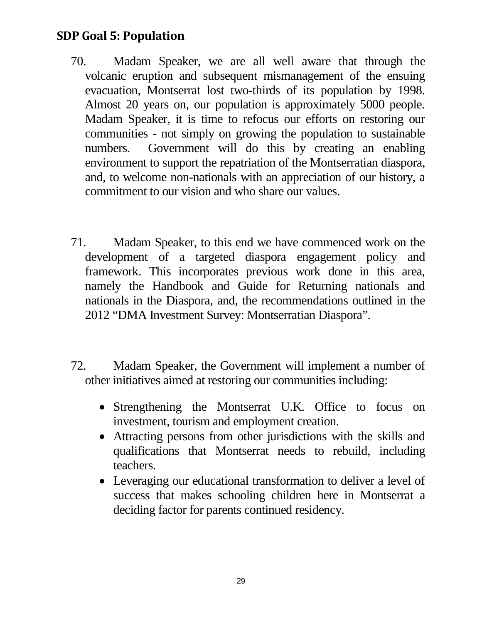### <span id="page-28-0"></span>**SDP Goal 5: Population**

- 70. Madam Speaker, we are all well aware that through the volcanic eruption and subsequent mismanagement of the ensuing evacuation, Montserrat lost two-thirds of its population by 1998. Almost 20 years on, our population is approximately 5000 people. Madam Speaker, it is time to refocus our efforts on restoring our communities - not simply on growing the population to sustainable numbers. Government will do this by creating an enabling environment to support the repatriation of the Montserratian diaspora, and, to welcome non-nationals with an appreciation of our history, a commitment to our vision and who share our values.
- 71. Madam Speaker, to this end we have commenced work on the development of a targeted diaspora engagement policy and framework. This incorporates previous work done in this area, namely the Handbook and Guide for Returning nationals and nationals in the Diaspora, and, the recommendations outlined in the 2012 "DMA Investment Survey: Montserratian Diaspora".
- 72. Madam Speaker, the Government will implement a number of other initiatives aimed at restoring our communities including:
	- Strengthening the Montserrat U.K. Office to focus on investment, tourism and employment creation.
	- Attracting persons from other jurisdictions with the skills and qualifications that Montserrat needs to rebuild, including teachers.
	- Leveraging our educational transformation to deliver a level of success that makes schooling children here in Montserrat a deciding factor for parents continued residency.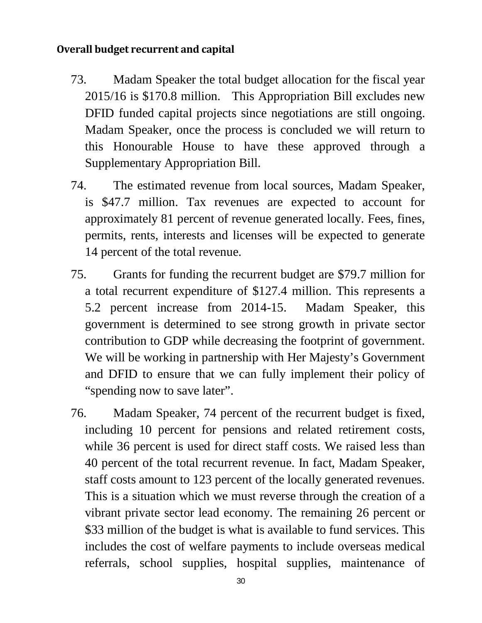#### <span id="page-29-0"></span>**Overall budget recurrent and capital**

- 73. Madam Speaker the total budget allocation for the fiscal year 2015/16 is \$170.8 million. This Appropriation Bill excludes new DFID funded capital projects since negotiations are still ongoing. Madam Speaker, once the process is concluded we will return to this Honourable House to have these approved through a Supplementary Appropriation Bill.
- 74. The estimated revenue from local sources, Madam Speaker, is \$47.7 million. Tax revenues are expected to account for approximately 81 percent of revenue generated locally. Fees, fines, permits, rents, interests and licenses will be expected to generate 14 percent of the total revenue.
- 75. Grants for funding the recurrent budget are \$79.7 million for a total recurrent expenditure of \$127.4 million. This represents a 5.2 percent increase from 2014-15. Madam Speaker, this government is determined to see strong growth in private sector contribution to GDP while decreasing the footprint of government. We will be working in partnership with Her Majesty's Government and DFID to ensure that we can fully implement their policy of "spending now to save later".
- 76. Madam Speaker, 74 percent of the recurrent budget is fixed, including 10 percent for pensions and related retirement costs, while 36 percent is used for direct staff costs. We raised less than 40 percent of the total recurrent revenue. In fact, Madam Speaker, staff costs amount to 123 percent of the locally generated revenues. This is a situation which we must reverse through the creation of a vibrant private sector lead economy. The remaining 26 percent or \$33 million of the budget is what is available to fund services. This includes the cost of welfare payments to include overseas medical referrals, school supplies, hospital supplies, maintenance of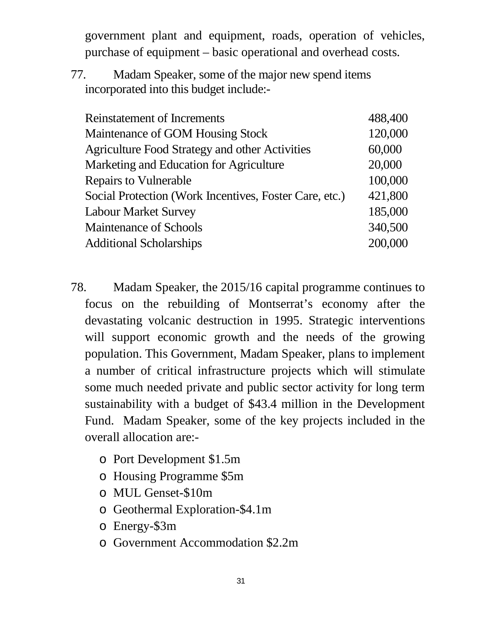government plant and equipment, roads, operation of vehicles, purchase of equipment – basic operational and overhead costs.

77. Madam Speaker, some of the major new spend items incorporated into this budget include:-

| <b>Reinstatement of Increments</b>                     | 488,400 |
|--------------------------------------------------------|---------|
| Maintenance of GOM Housing Stock                       | 120,000 |
| Agriculture Food Strategy and other Activities         | 60,000  |
| Marketing and Education for Agriculture                | 20,000  |
| <b>Repairs to Vulnerable</b>                           | 100,000 |
| Social Protection (Work Incentives, Foster Care, etc.) | 421,800 |
| <b>Labour Market Survey</b>                            | 185,000 |
| <b>Maintenance of Schools</b>                          | 340,500 |
| <b>Additional Scholarships</b>                         | 200,000 |
|                                                        |         |

- 78. Madam Speaker, the 2015/16 capital programme continues to focus on the rebuilding of Montserrat's economy after the devastating volcanic destruction in 1995. Strategic interventions will support economic growth and the needs of the growing population. This Government, Madam Speaker, plans to implement a number of critical infrastructure projects which will stimulate some much needed private and public sector activity for long term sustainability with a budget of \$43.4 million in the Development Fund. Madam Speaker, some of the key projects included in the overall allocation are:
	- o Port Development \$1.5m
	- o Housing Programme \$5m
	- o MUL Genset-\$10m
	- o Geothermal Exploration-\$4.1m
	- o Energy-\$3m
	- o Government Accommodation \$2.2m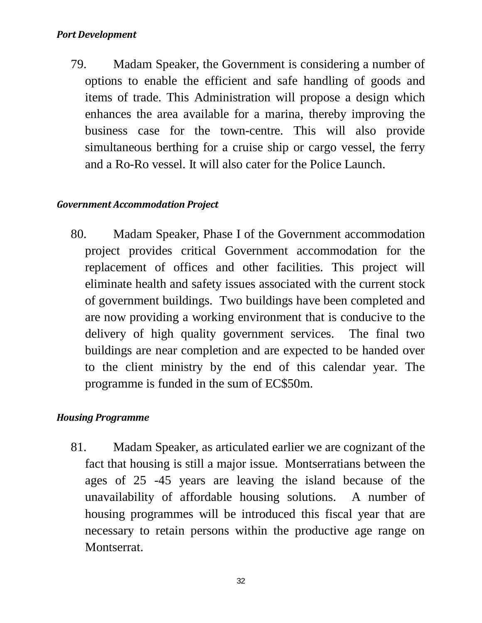#### <span id="page-31-0"></span>*Port Development*

79. Madam Speaker, the Government is considering a number of options to enable the efficient and safe handling of goods and items of trade. This Administration will propose a design which enhances the area available for a marina, thereby improving the business case for the town-centre. This will also provide simultaneous berthing for a cruise ship or cargo vessel, the ferry and a Ro-Ro vessel. It will also cater for the Police Launch.

#### <span id="page-31-1"></span>*Government Accommodation Project*

80. Madam Speaker, Phase I of the Government accommodation project provides critical Government accommodation for the replacement of offices and other facilities. This project will eliminate health and safety issues associated with the current stock of government buildings. Two buildings have been completed and are now providing a working environment that is conducive to the delivery of high quality government services. The final two buildings are near completion and are expected to be handed over to the client ministry by the end of this calendar year. The programme is funded in the sum of EC\$50m.

#### <span id="page-31-2"></span>*Housing Programme*

81. Madam Speaker, as articulated earlier we are cognizant of the fact that housing is still a major issue. Montserratians between the ages of 25 -45 years are leaving the island because of the unavailability of affordable housing solutions. A number of housing programmes will be introduced this fiscal year that are necessary to retain persons within the productive age range on Montserrat.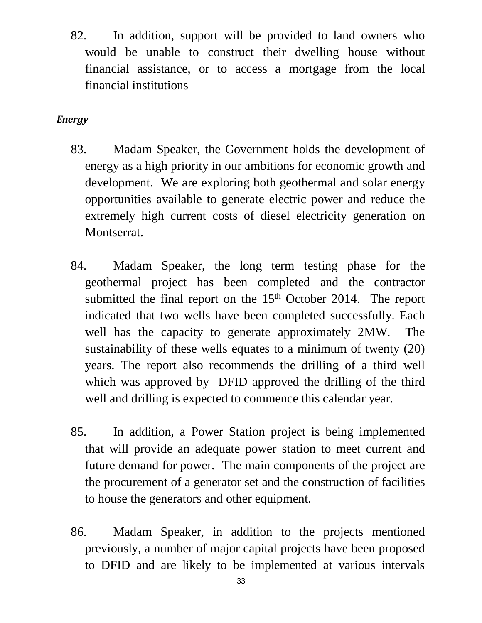82. In addition, support will be provided to land owners who would be unable to construct their dwelling house without financial assistance, or to access a mortgage from the local financial institutions

#### <span id="page-32-0"></span>*Energy*

- 83. Madam Speaker, the Government holds the development of energy as a high priority in our ambitions for economic growth and development. We are exploring both geothermal and solar energy opportunities available to generate electric power and reduce the extremely high current costs of diesel electricity generation on Montserrat.
- 84. Madam Speaker, the long term testing phase for the geothermal project has been completed and the contractor submitted the final report on the  $15<sup>th</sup>$  October 2014. The report indicated that two wells have been completed successfully. Each well has the capacity to generate approximately 2MW. The sustainability of these wells equates to a minimum of twenty (20) years. The report also recommends the drilling of a third well which was approved by DFID approved the drilling of the third well and drilling is expected to commence this calendar year.
- 85. In addition, a Power Station project is being implemented that will provide an adequate power station to meet current and future demand for power. The main components of the project are the procurement of a generator set and the construction of facilities to house the generators and other equipment.
- 86. Madam Speaker, in addition to the projects mentioned previously, a number of major capital projects have been proposed to DFID and are likely to be implemented at various intervals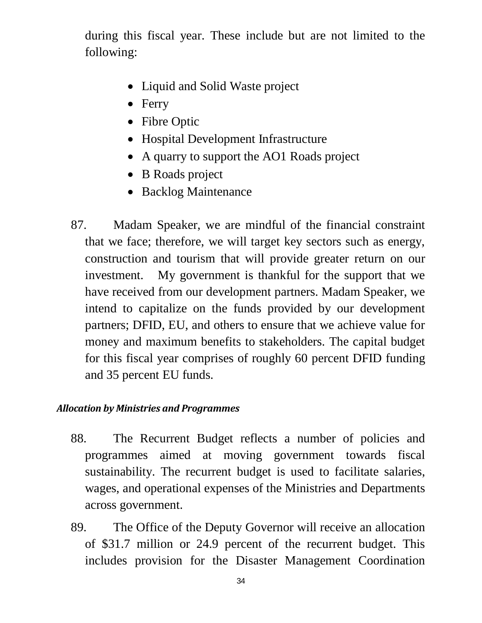during this fiscal year. These include but are not limited to the following:

- Liquid and Solid Waste project
- Ferry
- Fibre Optic
- Hospital Development Infrastructure
- A quarry to support the AO1 Roads project
- B Roads project
- Backlog Maintenance
- 87. Madam Speaker, we are mindful of the financial constraint that we face; therefore, we will target key sectors such as energy, construction and tourism that will provide greater return on our investment. My government is thankful for the support that we have received from our development partners. Madam Speaker, we intend to capitalize on the funds provided by our development partners; DFID, EU, and others to ensure that we achieve value for money and maximum benefits to stakeholders. The capital budget for this fiscal year comprises of roughly 60 percent DFID funding and 35 percent EU funds.

#### <span id="page-33-0"></span>*Allocation by Ministries and Programmes*

- 88. The Recurrent Budget reflects a number of policies and programmes aimed at moving government towards fiscal sustainability. The recurrent budget is used to facilitate salaries, wages, and operational expenses of the Ministries and Departments across government.
- 89. The Office of the Deputy Governor will receive an allocation of \$31.7 million or 24.9 percent of the recurrent budget. This includes provision for the Disaster Management Coordination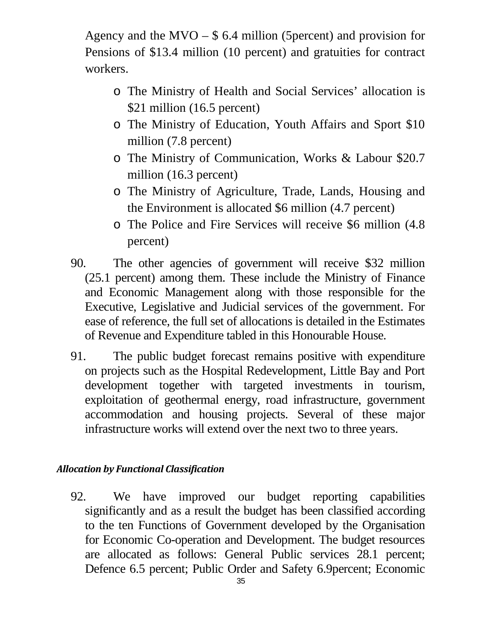Agency and the MVO – \$ 6.4 million (5percent) and provision for Pensions of \$13.4 million (10 percent) and gratuities for contract workers.

- o The Ministry of Health and Social Services' allocation is \$21 million (16.5 percent)
- o The Ministry of Education, Youth Affairs and Sport \$10 million (7.8 percent)
- o The Ministry of Communication, Works & Labour \$20.7 million (16.3 percent)
- o The Ministry of Agriculture, Trade, Lands, Housing and the Environment is allocated \$6 million (4.7 percent)
- o The Police and Fire Services will receive \$6 million (4.8 percent)
- 90. The other agencies of government will receive \$32 million (25.1 percent) among them. These include the Ministry of Finance and Economic Management along with those responsible for the Executive, Legislative and Judicial services of the government. For ease of reference, the full set of allocations is detailed in the Estimates of Revenue and Expenditure tabled in this Honourable House.
- 91. The public budget forecast remains positive with expenditure on projects such as the Hospital Redevelopment, Little Bay and Port development together with targeted investments in tourism, exploitation of geothermal energy, road infrastructure, government accommodation and housing projects. Several of these major infrastructure works will extend over the next two to three years.

#### <span id="page-34-0"></span>*Allocation by Functional Classification*

92. We have improved our budget reporting capabilities significantly and as a result the budget has been classified according to the ten Functions of Government developed by the Organisation for Economic Co-operation and Development. The budget resources are allocated as follows: General Public services 28.1 percent; Defence 6.5 percent; Public Order and Safety 6.9percent; Economic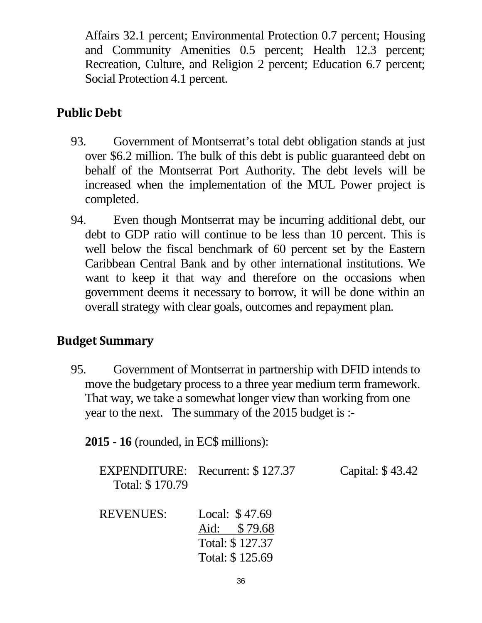Affairs 32.1 percent; Environmental Protection 0.7 percent; Housing and Community Amenities 0.5 percent; Health 12.3 percent; Recreation, Culture, and Religion 2 percent; Education 6.7 percent; Social Protection 4.1 percent.

## <span id="page-35-0"></span>**Public Debt**

- 93. Government of Montserrat's total debt obligation stands at just over \$6.2 million. The bulk of this debt is public guaranteed debt on behalf of the Montserrat Port Authority. The debt levels will be increased when the implementation of the MUL Power project is completed.
- 94. Even though Montserrat may be incurring additional debt, our debt to GDP ratio will continue to be less than 10 percent. This is well below the fiscal benchmark of 60 percent set by the Eastern Caribbean Central Bank and by other international institutions. We want to keep it that way and therefore on the occasions when government deems it necessary to borrow, it will be done within an overall strategy with clear goals, outcomes and repayment plan.

### <span id="page-35-1"></span>**Budget Summary**

95. Government of Montserrat in partnership with DFID intends to move the budgetary process to a three year medium term framework. That way, we take a somewhat longer view than working from one year to the next. The summary of the 2015 budget is :-

**2015 - 16** (rounded, in EC\$ millions):

| Total: \$170.79  | <b>EXPENDITURE:</b> Recurrent: \$127.37           | Capital: \$43.42 |
|------------------|---------------------------------------------------|------------------|
| <b>REVENUES:</b> | Local: \$47.69<br>Aid: \$79.68<br>Total: \$127.37 |                  |

Total: \$ 125.69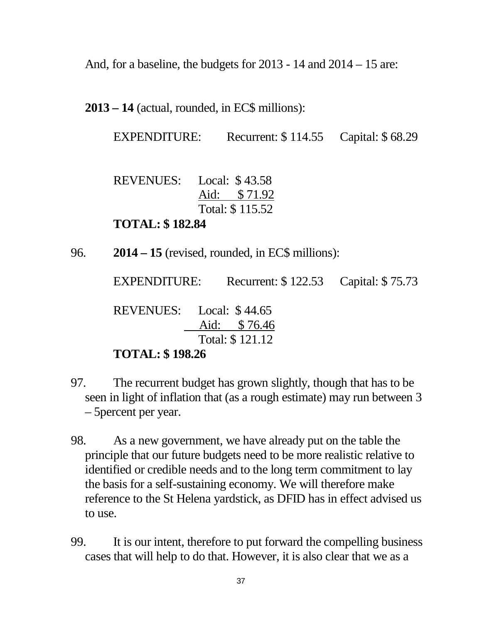And, for a baseline, the budgets for 2013 - 14 and 2014 – 15 are:

**2013 – 14** (actual, rounded, in EC\$ millions):

EXPENDITURE: Recurrent: \$114.55 Capital: \$68.29

REVENUES: Local: \$ 43.58 Aid: \$ 71.92 Total: \$ 115.52

**TOTAL: \$ 182.84**

96. **2014 – 15** (revised, rounded, in EC\$ millions):

EXPENDITURE: Recurrent: \$122.53 Capital: \$75.73 REVENUES: Local: \$ 44.65 Aid: \$ 76.46 Total: \$ 121.12

#### **TOTAL: \$ 198.26**

- 97. The recurrent budget has grown slightly, though that has to be seen in light of inflation that (as a rough estimate) may run between 3 – 5percent per year.
- 98. As a new government, we have already put on the table the principle that our future budgets need to be more realistic relative to identified or credible needs and to the long term commitment to lay the basis for a self-sustaining economy. We will therefore make reference to the St Helena yardstick, as DFID has in effect advised us to use.
- 99. It is our intent, therefore to put forward the compelling business cases that will help to do that. However, it is also clear that we as a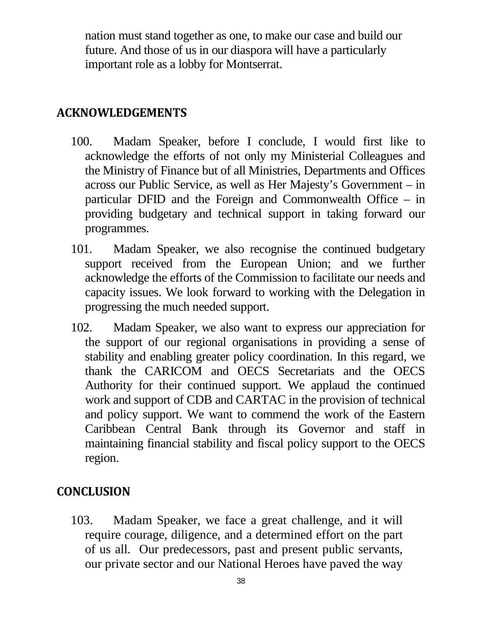nation must stand together as one, to make our case and build our future. And those of us in our diaspora will have a particularly important role as a lobby for Montserrat.

### <span id="page-37-0"></span>**ACKNOWLEDGEMENTS**

- 100. Madam Speaker, before I conclude, I would first like to acknowledge the efforts of not only my Ministerial Colleagues and the Ministry of Finance but of all Ministries, Departments and Offices across our Public Service, as well as Her Majesty's Government – in particular DFID and the Foreign and Commonwealth Office – in providing budgetary and technical support in taking forward our programmes.
- 101. Madam Speaker, we also recognise the continued budgetary support received from the European Union; and we further acknowledge the efforts of the Commission to facilitate our needs and capacity issues. We look forward to working with the Delegation in progressing the much needed support.
- 102. Madam Speaker, we also want to express our appreciation for the support of our regional organisations in providing a sense of stability and enabling greater policy coordination. In this regard, we thank the CARICOM and OECS Secretariats and the OECS Authority for their continued support. We applaud the continued work and support of CDB and CARTAC in the provision of technical and policy support. We want to commend the work of the Eastern Caribbean Central Bank through its Governor and staff in maintaining financial stability and fiscal policy support to the OECS region.

## <span id="page-37-1"></span>**CONCLUSION**

103. Madam Speaker, we face a great challenge, and it will require courage, diligence, and a determined effort on the part of us all. Our predecessors, past and present public servants, our private sector and our National Heroes have paved the way